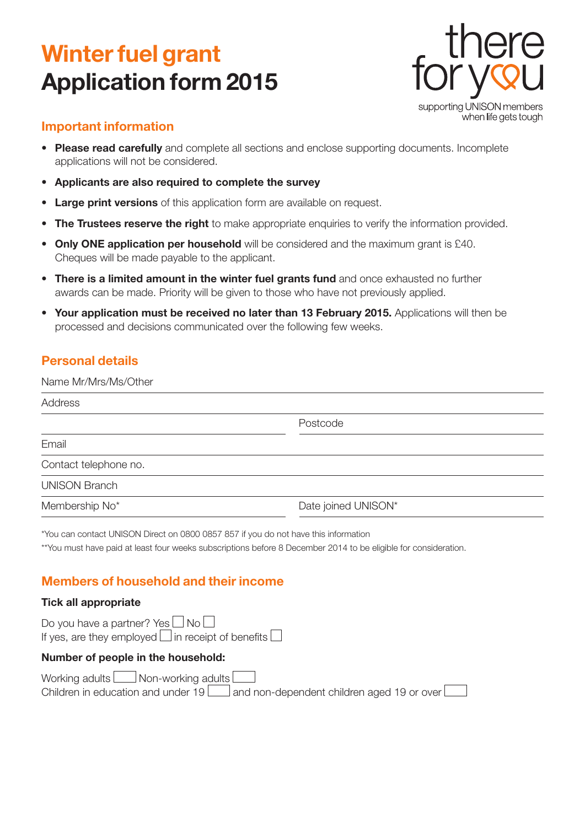# **Winter fuel grant Application form 2015**



## **Important information**

- **• Please read carefully** and complete all sections and enclose supporting documents. Incomplete applications will not be considered.
- **• Applicants are also required to complete the survey**
- **• Large print versions** of this application form are available on request.
- **•• The Trustees reserve the right** to make appropriate enquiries to verify the information provided.
- **• Only ONE application per household** will be considered and the maximum grant is £40. Cheques will be made payable to the applicant.
- **• There is a limited amount in the winter fuel grants fund** and once exhausted no further awards can be made. Priority will be given to those who have not previously applied.
- **• Your application must be received no later than 13 February 2015.** Applications will then be processed and decisions communicated over the following few weeks.

## **Personal details**

| Name Mr/Mrs/Ms/Other  |                     |  |  |
|-----------------------|---------------------|--|--|
| Address               |                     |  |  |
|                       | Postcode            |  |  |
| Email                 |                     |  |  |
| Contact telephone no. |                     |  |  |
| <b>UNISON Branch</b>  |                     |  |  |
| Membership No*        | Date joined UNISON* |  |  |
|                       |                     |  |  |

\*You can contact UNISON Direct on 0800 0857 857 if you do not have this information

\*\*You must have paid at least four weeks subscriptions before 8 December 2014 to be eligible for consideration.

# **Members of household and their income**

#### **Tick all appropriate**

Do you have a partner? Yes  $\Box$  No  $\Box$ If yes, are they employed  $\square$  in receipt of benefits  $\square$ 

#### **Number of people in the household:**

Working adults  $\Box$  Non-working adults  $\Box$ Children in education and under  $19$  and non-dependent children aged 19 or over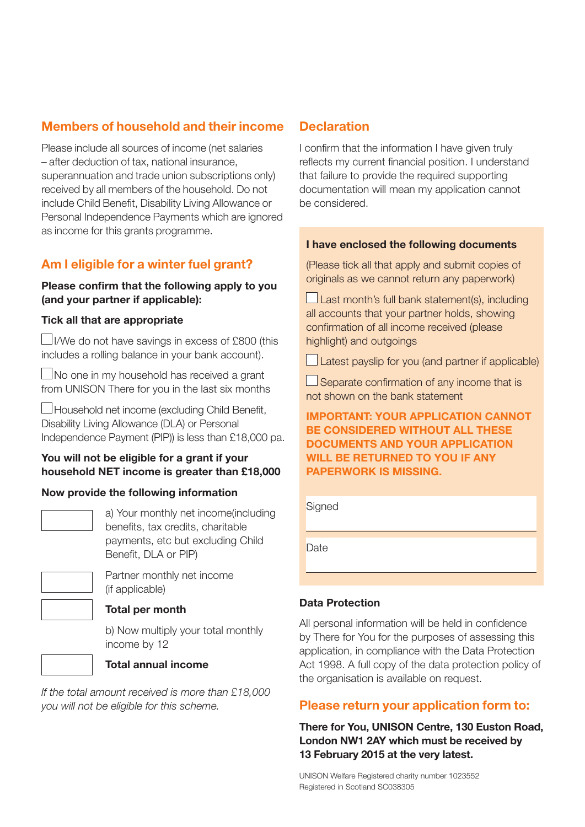# **Members of household and their income**

Please include all sources of income (net salaries – after deduction of tax, national insurance, superannuation and trade union subscriptions only) received by all members of the household. Do not include Child Benefit, Disability Living Allowance or Personal Independence Payments which are ignored as income for this grants programme.

# **Am I eligible for a winter fuel grant?**

#### **Please confirm that the following apply to you (and your partner if applicable):**

#### **Tick all that are appropriate**

 $\Box$ I/We do not have savings in excess of £800 (this includes a rolling balance in your bank account).

 $\Box$ No one in my household has received a grant from UNISON There for you in the last six months

Household net income (excluding Child Benefit, Disability Living Allowance (DLA) or Personal Independence Payment (PIP)) is less than £18,000 pa.

#### **You will not be eligible for a grant if your household NET income is greater than £18,000**

#### **Now provide the following information**

a) Your monthly net income(including benefits, tax credits, charitable payments, etc but excluding Child Benefit, DLA or PIP)



## (if applicable) **Total per month**

Partner monthly net income

b) Now multiply your total monthly income by 12



## **Total annual income**

*If the total amount received is more than £18,000 you will not be eligible for this scheme.*

## **Declaration**

I confirm that the information I have given truly reflects my current financial position. I understand that failure to provide the required supporting documentation will mean my application cannot be considered.

#### **I have enclosed the following documents**

(Please tick all that apply and submit copies of originals as we cannot return any paperwork)

 $\Box$  Last month's full bank statement(s), including all accounts that your partner holds, showing confirmation of all income received (please highlight) and outgoings

 $\Box$  Latest payslip for you (and partner if applicable)

 $\square$  Separate confirmation of any income that is not shown on the bank statement

**IMPORTANT: YOUR APPLICATION CANNOT BE CONSIDERED WITHOUT ALL THESE DOCUMENTS AND YOUR APPLICATION WILL BE RETURNED TO YOU IF ANY PAPERWORK IS MISSING.**

#### **Signed**

**Date** 

#### **Data Protection**

All personal information will be held in confidence by There for You for the purposes of assessing this application, in compliance with the Data Protection Act 1998. A full copy of the data protection policy of the organisation is available on request.

#### **Please return your application form to:**

**There for You, UNISON Centre, 130 Euston Road, London NW1 2AY which must be received by 13 February 2015 at the very latest.**

UNISON Welfare Registered charity number 1023552 Registered in Scotland SC038305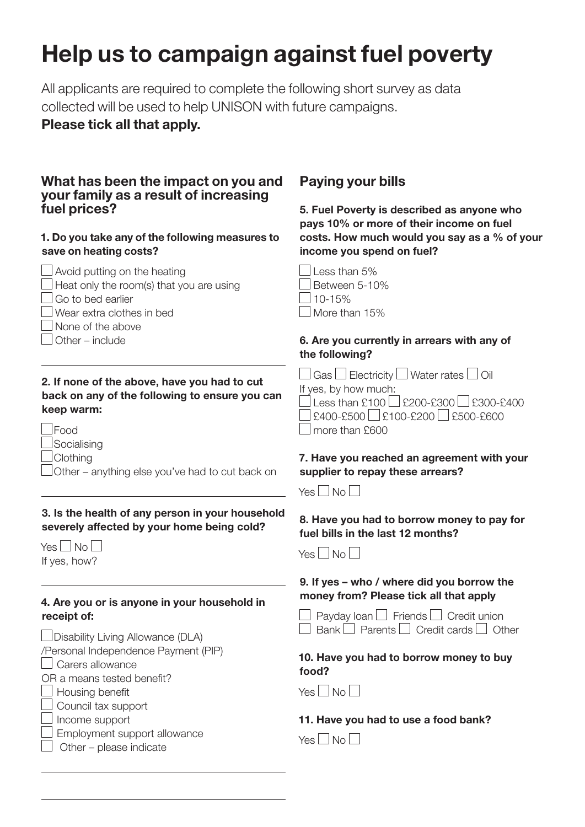# **Help us to campaign against fuel poverty**

All applicants are required to complete the following short survey as data collected will be used to help UNISON with future campaigns.

## **Please tick all that apply.**

## **What has been the impact on you and your family as a result of increasing fuel prices?**

#### **1. Do you take any of the following measures to save on heating costs?**

| $\Box$ Avoid putting on the heating             |
|-------------------------------------------------|
| $\Box$ Heat only the room(s) that you are using |
| $\Box$ Go to bed earlier                        |
| $\Box$ Wear extra clothes in bed                |
| $\Box$ None of the above                        |
| $\Box$ Other – include                          |
|                                                 |

#### **2. If none of the above, have you had to cut back on any of the following to ensure you can keep warm:**

Food

- $\sqcup$ Socialising
- **Clothing**

Other – anything else you've had to cut back on

#### **3. Is the health of any person in your household severely affected by your home being cold?**

|              | Yes $\Box$ No $\Box$ |  |
|--------------|----------------------|--|
| If yes, how? |                      |  |

 $\overline{a}$ 

#### **4. Are you or is anyone in your household in receipt of:**

| □ Disability Living Allowance (DLA)  |
|--------------------------------------|
| /Personal Independence Payment (PIP) |
| Carers allowance                     |
| OR a means tested benefit?           |
| $\Box$ Housing benefit               |
| $\Box$ Council tax support           |
| $\Box$ Income support                |

| $\Box$ Employment support allowance |  |
|-------------------------------------|--|

Other – please indicate

# **Paying your bills**

**5. Fuel Poverty is described as anyone who pays 10% or more of their income on fuel costs. How much would you say as a % of your income you spend on fuel?**

| Less than 5%  |
|---------------|
| Between 5-10% |
| $10 - 15%$    |
| More than 15% |

## **6. Are you currently in arrears with any of the following?**

| $\Box$ Gas $\Box$ Electricity $\Box$ Water rates $\Box$ Oil |
|-------------------------------------------------------------|
| If yes, by how much:                                        |
| Less than £100 $\sqrt{200}$ -£300 $\sqrt{200}$ -£300-£400   |
| $\Box$ £400-£500 $\Box$ £100-£200 $\Box$ £500-£600          |
| $\Box$ more than £600                                       |
|                                                             |

## **7. Have you reached an agreement with your supplier to repay these arrears?**



## **8. Have you had to borrow money to pay for fuel bills in the last 12 months?**



## **9. If yes – who / where did you borrow the money from? Please tick all that apply**

|  | $\Box$ Payday Ioan $\Box$ Friends $\Box$ Credit union       |  |  |
|--|-------------------------------------------------------------|--|--|
|  | $\Box$ Bank $\Box$ Parents $\Box$ Credit cards $\Box$ Other |  |  |

#### **10. Have you had to borrow money to buy food?**

 $Yes \Box No \Box$ 

## **11. Have you had to use a food bank?**

 $Yes \Box No \Box$